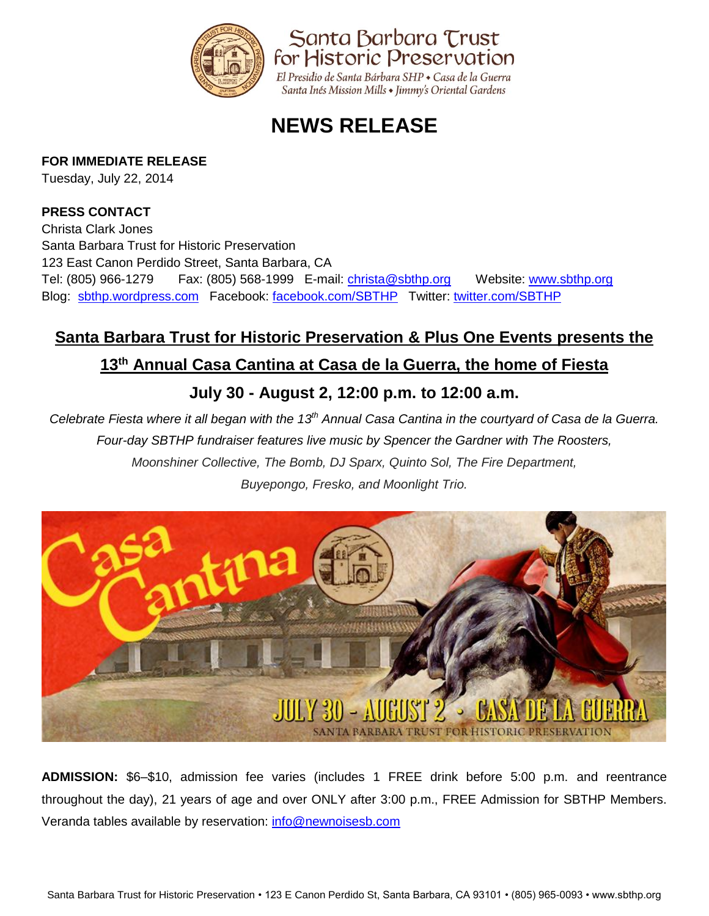

# **NEWS RELEASE**

### **FOR IMMEDIATE RELEASE**

Tuesday, July 22, 2014

### **PRESS CONTACT**

Christa Clark Jones Santa Barbara Trust for Historic Preservation 123 East Canon Perdido Street, Santa Barbara, CA Tel: (805) 966-1279 Fax: (805) 568-1999 E-mail: [christa@sbthp.org](mailto:christa@sbthp.org)  Website: [www.sbthp.org](http://www.sbthp.org/) Blog: [sbthp.wordpress.com](http://sbthp.wordpress.com/) Facebook: [facebook.com/SBTHP](http://www.facebook.com/SBTHP) Twitter: [twitter.com/SBTHP](http://twitter.com/SBTHP)

# **Santa Barbara Trust for Historic Preservation & Plus One Events presents the**

## **13th Annual Casa Cantina at Casa de la Guerra, the home of Fiesta**

# **July 30 - August 2, 12:00 p.m. to 12:00 a.m.**

*Celebrate Fiesta where it all began with the 13th Annual Casa Cantina in the courtyard of Casa de la Guerra. Four-day SBTHP fundraiser features live music by Spencer the Gardner with The Roosters, Moonshiner Collective, The Bomb, DJ Sparx, Quinto Sol, The Fire Department, Buyepongo, Fresko, and Moonlight Trio.*



**ADMISSION:** \$6–\$10, admission fee varies (includes 1 FREE drink before 5:00 p.m. and reentrance throughout the day), 21 years of age and over ONLY after 3:00 p.m., FREE Admission for SBTHP Members. Veranda tables available by reservation: [info@newnoisesb.com](mailto:info@newnoisesb.com)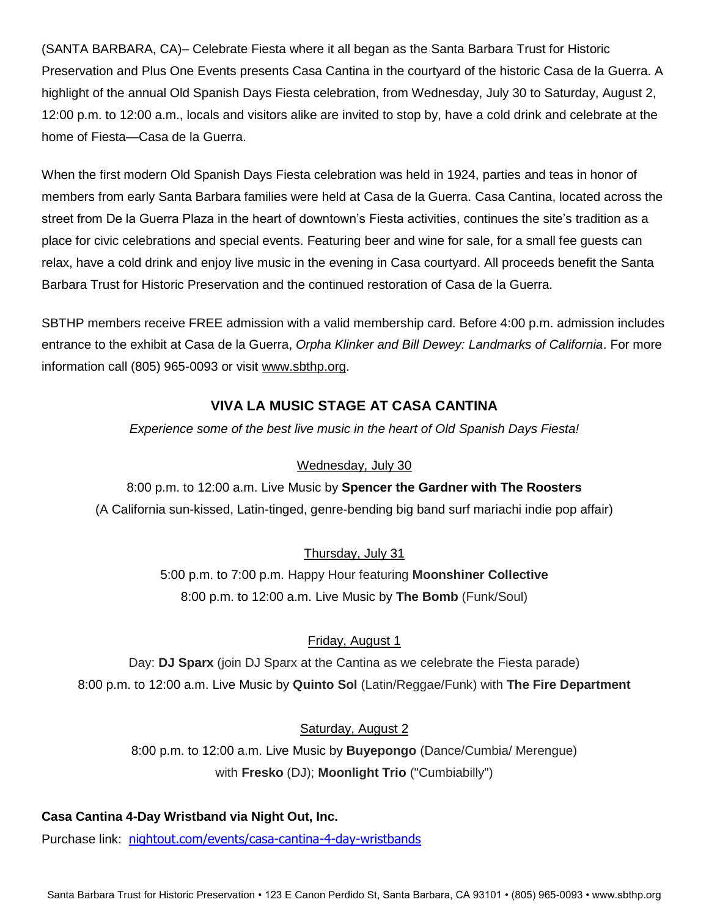(SANTA BARBARA, CA)– Celebrate Fiesta where it all began as the Santa Barbara Trust for Historic Preservation and Plus One Events presents Casa Cantina in the courtyard of the historic Casa de la Guerra. A highlight of the annual Old Spanish Days Fiesta celebration, from Wednesday, July 30 to Saturday, August 2, 12:00 p.m. to 12:00 a.m., locals and visitors alike are invited to stop by, have a cold drink and celebrate at the home of Fiesta—Casa de la Guerra.

When the first modern Old Spanish Days Fiesta celebration was held in 1924, parties and teas in honor of members from early Santa Barbara families were held at Casa de la Guerra. Casa Cantina, located across the street from De la Guerra Plaza in the heart of downtown's Fiesta activities, continues the site's tradition as a place for civic celebrations and special events. Featuring beer and wine for sale, for a small fee guests can relax, have a cold drink and enjoy live music in the evening in Casa courtyard. All proceeds benefit the Santa Barbara Trust for Historic Preservation and the continued restoration of Casa de la Guerra.

SBTHP members receive FREE admission with a valid membership card. Before 4:00 p.m. admission includes entrance to the exhibit at Casa de la Guerra, *Orpha Klinker and Bill Dewey: Landmarks of California*. For more information call (805) 965-0093 or visit [www.sbthp.org.](http://www.sbthp.org/)

### **VIVA LA MUSIC STAGE AT CASA CANTINA**

*Experience some of the best live music in the heart of Old Spanish Days Fiesta!*

#### Wednesday, July 30

8:00 p.m. to 12:00 a.m. Live Music by **Spencer the Gardner with The Roosters** (A California sun-kissed, Latin-tinged, genre-bending big band surf mariachi indie pop affair)

Thursday, July 31

5:00 p.m. to 7:00 p.m. Happy Hour featuring **Moonshiner Collective** 8:00 p.m. to 12:00 a.m. Live Music by **The Bomb** (Funk/Soul)

#### Friday, August 1

Day: **DJ Sparx** (join DJ Sparx at the Cantina as we celebrate the Fiesta parade) 8:00 p.m. to 12:00 a.m. Live Music by **Quinto Sol** (Latin/Reggae/Funk) with **The Fire Department**

Saturday, August 2 8:00 p.m. to 12:00 a.m. Live Music by **Buyepongo** (Dance/Cumbia/ Merengue)

#### with **Fresko** (DJ); **Moonlight Trio** ("Cumbiabilly")

#### **Casa Cantina 4-Day Wristband via Night Out, Inc.**

Purchase link: [nightout.com/events/casa-cantina-4-day-wristbands](http://nightout.com/events/casa-cantina-4-day-wristbands)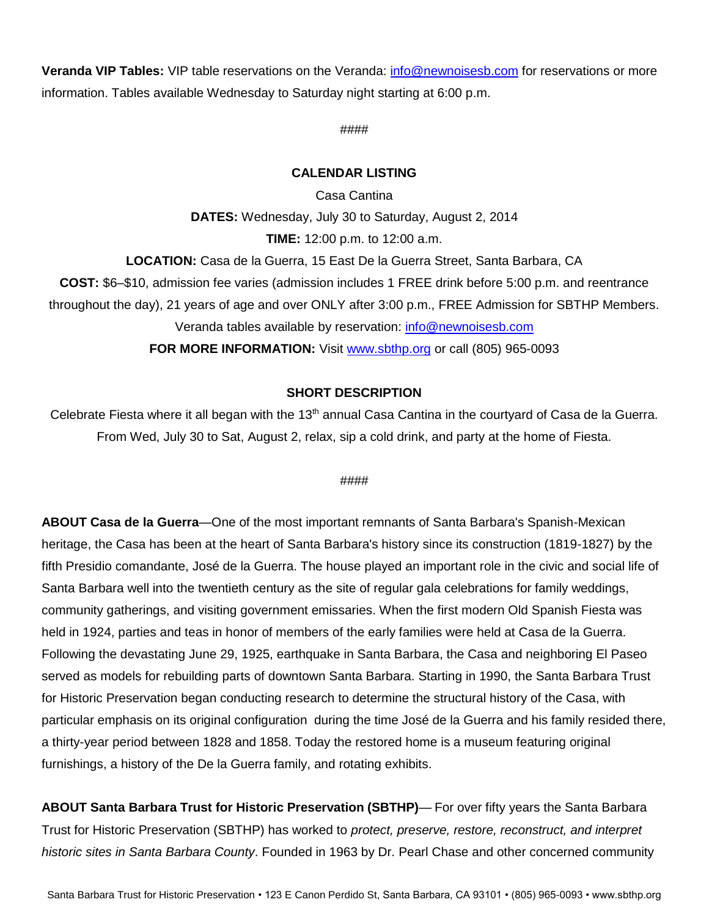**Veranda VIP Tables:** VIP table reservations on the Veranda: [info@newnoisesb.com](mailto:info@newnoisesb.com) for reservations or more information. Tables available Wednesday to Saturday night starting at 6:00 p.m.

#### ####

#### **CALENDAR LISTING**

Casa Cantina **DATES:** Wednesday, July 30 to Saturday, August 2, 2014 **TIME:** 12:00 p.m. to 12:00 a.m.

**LOCATION:** Casa de la Guerra, 15 East De la Guerra Street, Santa Barbara, CA **COST:** \$6–\$10, admission fee varies (admission includes 1 FREE drink before 5:00 p.m. and reentrance throughout the day), 21 years of age and over ONLY after 3:00 p.m., FREE Admission for SBTHP Members. Veranda tables available by reservation: [info@newnoisesb.com](mailto:info@newnoisesb.com)

**FOR MORE INFORMATION:** Visit [www.sbthp.org](http://www.sbthp.org/) or call (805) 965-0093

#### **SHORT DESCRIPTION**

Celebrate Fiesta where it all began with the 13<sup>th</sup> annual Casa Cantina in the courtyard of Casa de la Guerra. From Wed, July 30 to Sat, August 2, relax, sip a cold drink, and party at the home of Fiesta.

#### ####

**ABOUT Casa de la Guerra**—One of the most important remnants of Santa Barbara's Spanish-Mexican heritage, the Casa has been at the heart of Santa Barbara's history since its construction (1819-1827) by the fifth Presidio comandante, José de la Guerra. The house played an important role in the civic and social life of Santa Barbara well into the twentieth century as the site of regular gala celebrations for family weddings, community gatherings, and visiting government emissaries. When the first modern Old Spanish Fiesta was held in 1924, parties and teas in honor of members of the early families were held at Casa de la Guerra. Following the devastating June 29, 1925, earthquake in Santa Barbara, the Casa and neighboring El Paseo served as models for rebuilding parts of downtown Santa Barbara. Starting in 1990, the Santa Barbara Trust for Historic Preservation began conducting research to determine the structural history of the Casa, with particular emphasis on its original configuration during the time José de la Guerra and his family resided there, a thirty-year period between 1828 and 1858. Today the restored home is a museum featuring original furnishings, a history of the De la Guerra family, and rotating exhibits.

**ABOUT Santa Barbara Trust for Historic Preservation (SBTHP)**— For over fifty years the Santa Barbara Trust for Historic Preservation (SBTHP) has worked to *protect, preserve, restore, reconstruct, and interpret historic sites in Santa Barbara County*. Founded in 1963 by Dr. Pearl Chase and other concerned community